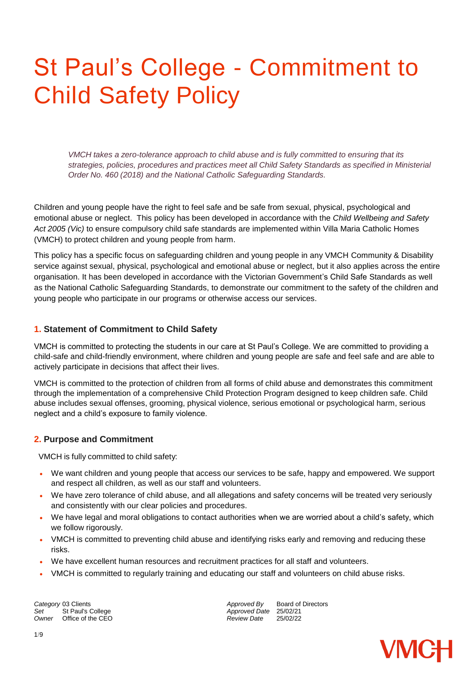## St Paul's College - Commitment to Child Safety Policy

*VMCH takes a zero-tolerance approach to child abuse and is fully committed to ensuring that its strategies, policies, procedures and practices meet all Child Safety Standards as specified in Ministerial Order No. 460 (2018) and the National Catholic Safeguarding Standards.*

Children and young people have the right to feel safe and be safe from sexual, physical, psychological and emotional abuse or neglect. This policy has been developed in accordance with the *Child Wellbeing and Safety Act 2005 (Vic)* to ensure compulsory child safe standards are implemented within Villa Maria Catholic Homes (VMCH) to protect children and young people from harm.

This policy has a specific focus on safeguarding children and young people in any VMCH Community & Disability service against sexual, physical, psychological and emotional abuse or neglect, but it also applies across the entire organisation. It has been developed in accordance with the Victorian Government's Child Safe Standards as well as the National Catholic Safeguarding Standards, to demonstrate our commitment to the safety of the children and young people who participate in our programs or otherwise access our services.

#### **1. Statement of Commitment to Child Safety**

VMCH is committed to protecting the students in our care at St Paul's College. We are committed to providing a child-safe and child-friendly environment, where children and young people are safe and feel safe and are able to actively participate in decisions that affect their lives.

VMCH is committed to the protection of children from all forms of child abuse and demonstrates this commitment through the implementation of a comprehensive Child Protection Program designed to keep children safe. Child abuse includes sexual offenses, grooming, physical violence, serious emotional or psychological harm, serious neglect and a child's exposure to family violence.

#### **2. Purpose and Commitment**

VMCH is fully committed to child safety:

- We want children and young people that access our services to be safe, happy and empowered. We support and respect all children, as well as our staff and volunteers.
- We have zero tolerance of child abuse, and all allegations and safety concerns will be treated very seriously and consistently with our clear policies and procedures.
- We have legal and moral obligations to contact authorities when we are worried about a child's safety, which we follow rigorously.
- VMCH is committed to preventing child abuse and identifying risks early and removing and reducing these risks.
- We have excellent human resources and recruitment practices for all staff and volunteers.
- VMCH is committed to regularly training and educating our staff and volunteers on child abuse risks.

**Category** 03 Clients **Approved By** Board of Directors *Approved By* Board of Directors<br> *Approved Date* 25/02/21 *Owner* Office of the CEO *Review Date* 25/02/22

*Approved Date* 25/02/21<br>*Review Date* 25/02/22

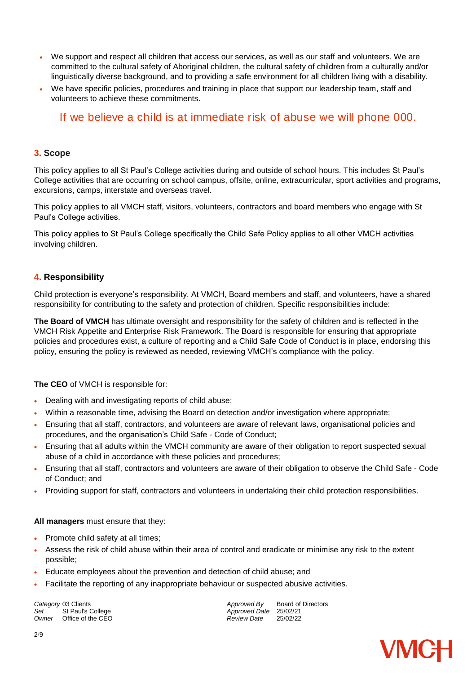- We support and respect all children that access our services, as well as our staff and volunteers. We are committed to the cultural safety of Aboriginal children, the cultural safety of children from a culturally and/or linguistically diverse background, and to providing a safe environment for all children living with a disability.
- We have specific policies, procedures and training in place that support our leadership team, staff and volunteers to achieve these commitments.

#### If we believe a child is at immediate risk of abuse we will phone 000.

#### **3. Scope**

This policy applies to all St Paul's College activities during and outside of school hours. This includes St Paul's College activities that are occurring on school campus, offsite, online, extracurricular, sport activities and programs, excursions, camps, interstate and overseas travel.

This policy applies to all VMCH staff, visitors, volunteers, contractors and board members who engage with St Paul's College activities.

This policy applies to St Paul's College specifically the Child Safe Policy applies to all other VMCH activities involving children.

#### **4. Responsibility**

Child protection is everyone's responsibility. At VMCH, Board members and staff, and volunteers, have a shared responsibility for contributing to the safety and protection of children. Specific responsibilities include:

**The Board of VMCH** has ultimate oversight and responsibility for the safety of children and is reflected in the VMCH Risk Appetite and Enterprise Risk Framework. The Board is responsible for ensuring that appropriate policies and procedures exist, a culture of reporting and a Child Safe Code of Conduct is in place, endorsing this policy, ensuring the policy is reviewed as needed, reviewing VMCH's compliance with the policy.

**The CEO** of VMCH is responsible for:

- Dealing with and investigating reports of child abuse;
- Within a reasonable time, advising the Board on detection and/or investigation where appropriate;
- Ensuring that all staff, contractors, and volunteers are aware of relevant laws, organisational policies and procedures, and the organisation's Child Safe - Code of Conduct;
- Ensuring that all adults within the VMCH community are aware of their obligation to report suspected sexual abuse of a child in accordance with these policies and procedures;
- Ensuring that all staff, contractors and volunteers are aware of their obligation to observe the Child Safe Code of Conduct; and
- Providing support for staff, contractors and volunteers in undertaking their child protection responsibilities.

#### **All managers** must ensure that they:

- Promote child safety at all times;
- Assess the risk of child abuse within their area of control and eradicate or minimise any risk to the extent possible;
- Educate employees about the prevention and detection of child abuse; and
- Facilitate the reporting of any inappropriate behaviour or suspected abusive activities.

*Owner* Office of the CEO *Review Date* 25/02/22

**Category** 03 Clients *Category* 03 Clients *Approved By* Board of Directors *Approved By* Board of Directors *Approved Date* 25/02/21<br>*Review Date* 25/02/22

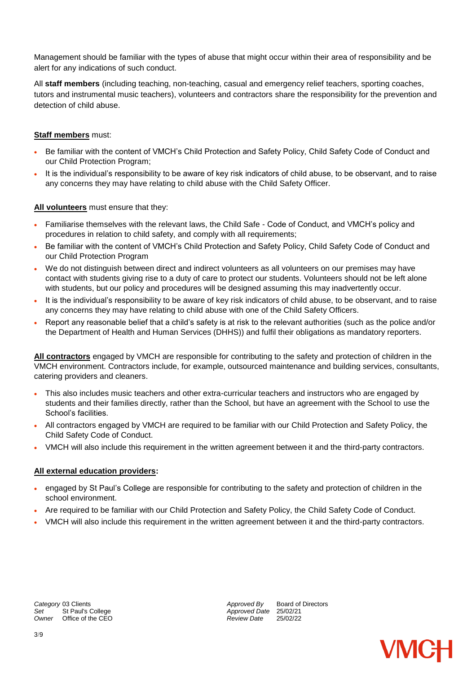Management should be familiar with the types of abuse that might occur within their area of responsibility and be alert for any indications of such conduct.

All **staff members** (including teaching, non-teaching, casual and emergency relief teachers, sporting coaches, tutors and instrumental music teachers), volunteers and contractors share the responsibility for the prevention and detection of child abuse.

#### **Staff members** must:

- Be familiar with the content of VMCH's Child Protection and Safety Policy, Child Safety Code of Conduct and our Child Protection Program;
- It is the individual's responsibility to be aware of key risk indicators of child abuse, to be observant, and to raise any concerns they may have relating to child abuse with the Child Safety Officer.

#### **All volunteers** must ensure that they:

- Familiarise themselves with the relevant laws, the Child Safe Code of Conduct, and VMCH's policy and procedures in relation to child safety, and comply with all requirements;
- Be familiar with the content of VMCH's Child Protection and Safety Policy, Child Safety Code of Conduct and our Child Protection Program
- We do not distinguish between direct and indirect volunteers as all volunteers on our premises may have contact with students giving rise to a duty of care to protect our students. Volunteers should not be left alone with students, but our policy and procedures will be designed assuming this may inadvertently occur.
- It is the individual's responsibility to be aware of key risk indicators of child abuse, to be observant, and to raise any concerns they may have relating to child abuse with one of the Child Safety Officers.
- Report any reasonable belief that a child's safety is at risk to the relevant authorities (such as the police and/or the Department of Health and Human Services (DHHS)) and fulfil their obligations as mandatory reporters.

**All contractors** engaged by VMCH are responsible for contributing to the safety and protection of children in the VMCH environment. Contractors include, for example, outsourced maintenance and building services, consultants, catering providers and cleaners.

- This also includes music teachers and other extra-curricular teachers and instructors who are engaged by students and their families directly, rather than the School, but have an agreement with the School to use the School's facilities.
- All contractors engaged by VMCH are required to be familiar with our Child Protection and Safety Policy, the Child Safety Code of Conduct.
- VMCH will also include this requirement in the written agreement between it and the third-party contractors.

#### **All external education providers:**

- engaged by St Paul's College are responsible for contributing to the safety and protection of children in the school environment.
- Are required to be familiar with our Child Protection and Safety Policy, the Child Safety Code of Conduct.
- VMCH will also include this requirement in the written agreement between it and the third-party contractors.

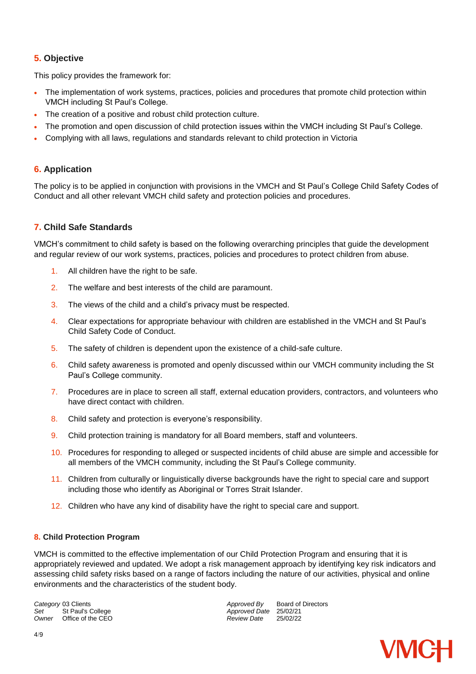#### **5. Objective**

This policy provides the framework for:

- The implementation of work systems, practices, policies and procedures that promote child protection within VMCH including St Paul's College.
- The creation of a positive and robust child protection culture.
- The promotion and open discussion of child protection issues within the VMCH including St Paul's College.
- Complying with all laws, regulations and standards relevant to child protection in Victoria

#### **6. Application**

The policy is to be applied in conjunction with provisions in the VMCH and St Paul's College Child Safety Codes of Conduct and all other relevant VMCH child safety and protection policies and procedures.

#### **7. Child Safe Standards**

VMCH's commitment to child safety is based on the following overarching principles that guide the development and regular review of our work systems, practices, policies and procedures to protect children from abuse.

- 1. All children have the right to be safe.
- 2. The welfare and best interests of the child are paramount.
- 3. The views of the child and a child's privacy must be respected.
- 4. Clear expectations for appropriate behaviour with children are established in the VMCH and St Paul's Child Safety Code of Conduct.
- 5. The safety of children is dependent upon the existence of a child-safe culture.
- 6. Child safety awareness is promoted and openly discussed within our VMCH community including the St Paul's College community.
- 7. Procedures are in place to screen all staff, external education providers, contractors, and volunteers who have direct contact with children.
- 8. Child safety and protection is everyone's responsibility.
- 9. Child protection training is mandatory for all Board members, staff and volunteers.
- 10. Procedures for responding to alleged or suspected incidents of child abuse are simple and accessible for all members of the VMCH community, including the St Paul's College community.
- 11. Children from culturally or linguistically diverse backgrounds have the right to special care and support including those who identify as Aboriginal or Torres Strait Islander.
- 12. Children who have any kind of disability have the right to special care and support.

#### **8. Child Protection Program**

VMCH is committed to the effective implementation of our Child Protection Program and ensuring that it is appropriately reviewed and updated. We adopt a risk management approach by identifying key risk indicators and assessing child safety risks based on a range of factors including the nature of our activities, physical and online environments and the characteristics of the student body.

**Owner** Office of the CEO *COMPONER CONTENT CONTENT CONTENT CONTENT CONTENT CONTENT CONTENT CONTENT CONTENT CONTENT CONTENT CONTENT CONTENT CONTENT CONTENT CONTENT CONTENT CONTENT CONTENT CONTENT CONTENT CONTENT CONTENT C* 

**Category** 03 Clients **Approved By** Board of Directors *Approved By* Board of Directors<br> *Approved Date* 25/02/21 *Set* St Paul's College *Approved Date* 25/02/21

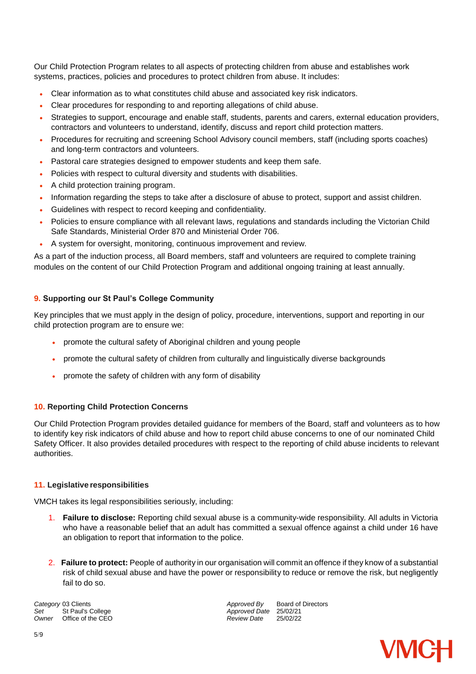Our Child Protection Program relates to all aspects of protecting children from abuse and establishes work systems, practices, policies and procedures to protect children from abuse. It includes:

- Clear information as to what constitutes child abuse and associated key risk indicators.
- Clear procedures for responding to and reporting allegations of child abuse.
- Strategies to support, encourage and enable staff, students, parents and carers, external education providers, contractors and volunteers to understand, identify, discuss and report child protection matters.
- Procedures for recruiting and screening School Advisory council members, staff (including sports coaches) and long-term contractors and volunteers.
- Pastoral care strategies designed to empower students and keep them safe.
- Policies with respect to cultural diversity and students with disabilities.
- A child protection training program.
- Information regarding the steps to take after a disclosure of abuse to protect, support and assist children.
- Guidelines with respect to record keeping and confidentiality.
- Policies to ensure compliance with all relevant laws, regulations and standards including the Victorian Child Safe Standards, Ministerial Order 870 and Ministerial Order 706.
- A system for oversight, monitoring, continuous improvement and review.

As a part of the induction process, all Board members, staff and volunteers are required to complete training modules on the content of our Child Protection Program and additional ongoing training at least annually.

#### **9. Supporting our St Paul's College Community**

Key principles that we must apply in the design of policy, procedure, interventions, support and reporting in our child protection program are to ensure we:

- promote the cultural safety of Aboriginal children and young people
- promote the cultural safety of children from culturally and linguistically diverse backgrounds
- promote the safety of children with any form of disability

#### **10. Reporting Child Protection Concerns**

Our Child Protection Program provides detailed guidance for members of the Board, staff and volunteers as to how to identify key risk indicators of child abuse and how to report child abuse concerns to one of our nominated Child Safety Officer. It also provides detailed procedures with respect to the reporting of child abuse incidents to relevant authorities.

#### **11. Legislative responsibilities**

VMCH takes its legal responsibilities seriously, including:

- 1. **Failure to disclose:** Reporting child sexual abuse is a community-wide responsibility. All adults in Victoria who have a reasonable belief that an adult has committed a sexual offence against a child under 16 have an obligation to report that information to the police.
- 2. **Failure to protect:** People of authority in our organisation will commit an offence if they know of a substantial risk of child sexual abuse and have the power or responsibility to reduce or remove the risk, but negligently fail to do so.

**Owner** Office of the CEO *COMPONER CONTENT CONTENT CONTENT CONTENT CONTENT CONTENT CONTENT CONTENT CONTENT CONTENT CONTENT CONTENT CONTENT CONTENT CONTENT CONTENT CONTENT CONTENT CONTENT CONTENT CONTENT CONTENT CONTENT C* 

**Category** 03 Clients **Approved By** Board of Directors *Approved By* Board of Directors<br> *Approved Date* 25/02/21 *Approved Date* 25/02/21<br>*Review Date* 25/02/22

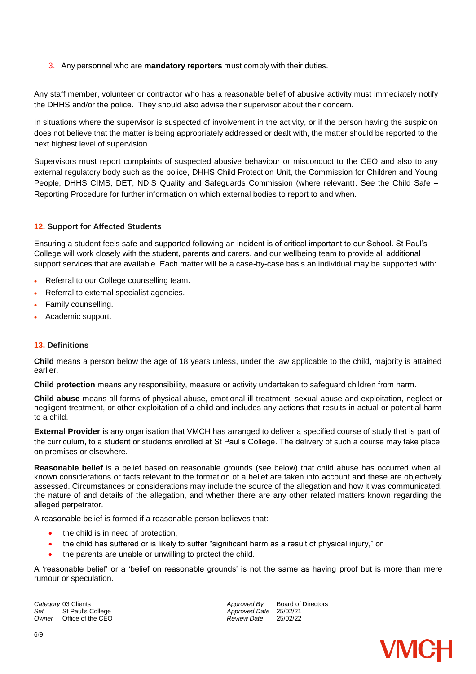3. Any personnel who are **mandatory reporters** must comply with their duties.

Any staff member, volunteer or contractor who has a reasonable belief of abusive activity must immediately notify the DHHS and/or the police. They should also advise their supervisor about their concern.

In situations where the supervisor is suspected of involvement in the activity, or if the person having the suspicion does not believe that the matter is being appropriately addressed or dealt with, the matter should be reported to the next highest level of supervision.

Supervisors must report complaints of suspected abusive behaviour or misconduct to the CEO and also to any external regulatory body such as the police, DHHS Child Protection Unit, the Commission for Children and Young People, DHHS CIMS, DET, NDIS Quality and Safeguards Commission (where relevant). See the Child Safe – Reporting Procedure for further information on which external bodies to report to and when.

#### **12. Support for Affected Students**

Ensuring a student feels safe and supported following an incident is of critical important to our School. St Paul's College will work closely with the student, parents and carers, and our wellbeing team to provide all additional support services that are available. Each matter will be a case-by-case basis an individual may be supported with:

- Referral to our College counselling team.
- Referral to external specialist agencies.
- Family counselling.
- Academic support.

#### **13. Definitions**

**Child** means a person below the age of 18 years unless, under the law applicable to the child, majority is attained earlier.

**Child protection** means any responsibility, measure or activity undertaken to safeguard children from harm.

**Child abuse** means all forms of physical abuse, emotional ill-treatment, sexual abuse and exploitation, neglect or negligent treatment, or other exploitation of a child and includes any actions that results in actual or potential harm to a child.

**External Provider** is any organisation that VMCH has arranged to deliver a specified course of study that is part of the curriculum, to a student or students enrolled at St Paul's College. The delivery of such a course may take place on premises or elsewhere.

**Reasonable belief** is a belief based on reasonable grounds (see below) that child abuse has occurred when all known considerations or facts relevant to the formation of a belief are taken into account and these are objectively assessed. Circumstances or considerations may include the source of the allegation and how it was communicated, the nature of and details of the allegation, and whether there are any other related matters known regarding the alleged perpetrator.

A reasonable belief is formed if a reasonable person believes that:

- the child is in need of protection,
- the child has suffered or is likely to suffer "significant harm as a result of physical injury," or
- the parents are unable or unwilling to protect the child.

A 'reasonable belief' or a 'belief on reasonable grounds' is not the same as having proof but is more than mere rumour or speculation.

*Owner* Office of the CEO *Review Date* 25/02/22

**Category** 03 Clients *Category* 03 Clients *Approved By* Board of Directors *Approved By* Board of Directors *Set* St Paul's College *Approved Date* 25/02/21

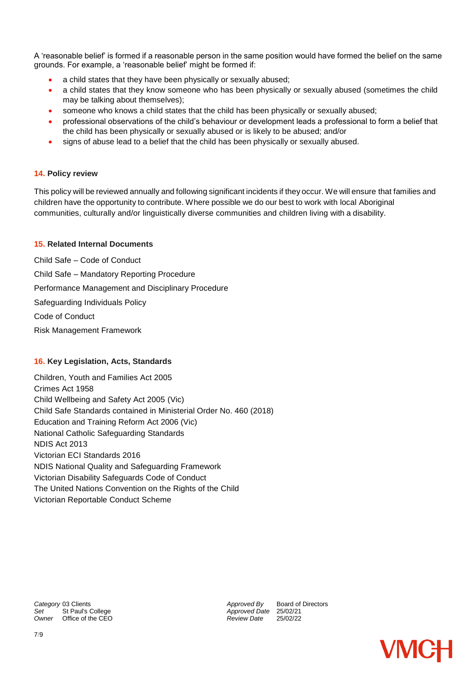A 'reasonable belief' is formed if a reasonable person in the same position would have formed the belief on the same grounds. For example, a 'reasonable belief' might be formed if:

- a child states that they have been physically or sexually abused;
- a child states that they know someone who has been physically or sexually abused (sometimes the child may be talking about themselves);
- someone who knows a child states that the child has been physically or sexually abused;
- professional observations of the child's behaviour or development leads a professional to form a belief that the child has been physically or sexually abused or is likely to be abused; and/or
- signs of abuse lead to a belief that the child has been physically or sexually abused.

#### **14. Policy review**

This policy will be reviewed annually and following significant incidents if they occur. We will ensure that families and children have the opportunity to contribute. Where possible we do our best to work with local Aboriginal communities, culturally and/or linguistically diverse communities and children living with a disability.

#### **15. Related Internal Documents**

Child Safe – Code of Conduct Child Safe – Mandatory Reporting Procedure Performance Management and Disciplinary Procedure Safeguarding Individuals Policy Code of Conduct Risk Management Framework

#### **16. Key Legislation, Acts, Standards**

Children, Youth and Families Act 2005 Crimes Act 1958 Child Wellbeing and Safety Act 2005 (Vic) Child Safe Standards contained in Ministerial Order No. 460 (2018) Education and Training Reform Act 2006 (Vic) National Catholic Safeguarding Standards NDIS Act 2013 Victorian ECI Standards 2016 NDIS National Quality and Safeguarding Framework Victorian Disability Safeguards Code of Conduct The United Nations Convention on the Rights of the Child Victorian Reportable Conduct Scheme

*Owner* Office of the CEO *Review Date* 25/02/22

**Category** 03 Clients *Category* 03 Clients *Approved By* Board of Directors *Approved By* Board of Directors *Approved Date* 25/02/21<br>*Review Date* 25/02/22

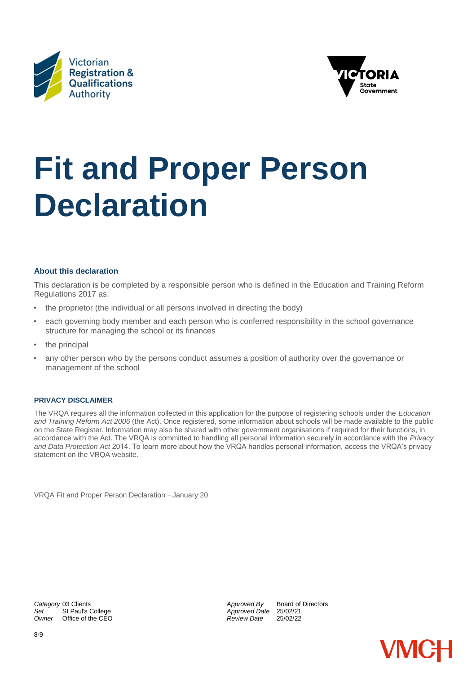



# **Fit and Proper Person Declaration**

#### **About this declaration**

This declaration is be completed by a responsible person who is defined in the Education and Training Reform Regulations 2017 as:

- the proprietor (the individual or all persons involved in directing the body)
- each governing body member and each person who is conferred responsibility in the school governance structure for managing the school or its finances
- the principal
- any other person who by the persons conduct assumes a position of authority over the governance or management of the school

#### **PRIVACY DISCLAIMER**

The VRQA requires all the information collected in this application for the purpose of registering schools under the *Education and Training Reform Act 2006* (the Act). Once registered, some information about schools will be made available to the public on the State Register. Information may also be shared with other government organisations if required for their functions, in accordance with the Act. The VRQA is committed to handling all personal information securely in accordance with the *Privacy and Data Protection Act* 2014. To learn more about how the VRQA handles personal information, access the VRQA's privacy statement on the VRQA website.

VRQA Fit and Proper Person Declaration – January 20

**Category** 03 Clients **Approved By** Board of Directors *Approved By* Board of Directors<br> *Approved Date* 25/02/21 *Owner* Office of the CEO *Review Date* 25/02/22

*Set* St Paul's College *Approved Date* 25/02/21